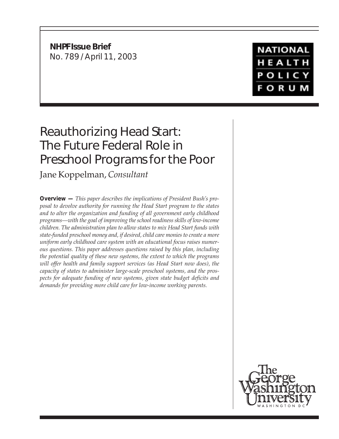**NHPF Issue Brief** No. 789 / April 11, 2003

**NATIONAL** HEALTH **POLICY FORUM** 

# Reauthorizing Head Start: The Future Federal Role in Preschool Programs for the Poor

Jane Koppelman, *Consultant*

**Overview —** *This paper describes the implications of President Bush's proposal to devolve authority for running the Head Start program to the states and to alter the organization and funding of all government early childhood programs—with the goal of improving the school readiness skills of low-income children. The administration plan to allow states to mix Head Start funds with state-funded preschool money and, if desired, child care monies to create a more uniform early childhood care system with an educational focus raises numerous questions. This paper addresses questions raised by this plan, including the potential quality of these new systems, the extent to which the programs will offer health and family support services (as Head Start now does), the capacity of states to administer large-scale preschool systems, and the prospects for adequate funding of new systems, given state budget deficits and demands for providing more child care for low-income working parents.*

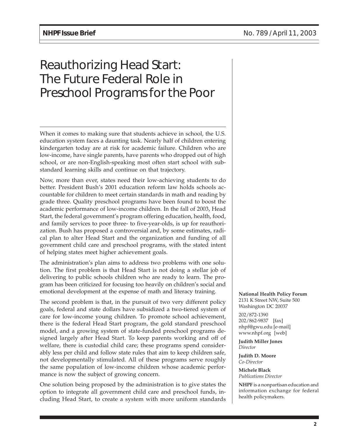# Reauthorizing Head Start: The Future Federal Role in Preschool Programs for the Poor

When it comes to making sure that students achieve in school, the U.S. education system faces a daunting task. Nearly half of children entering kindergarten today are at risk for academic failure. Children who are low-income, have single parents, have parents who dropped out of high school, or are non-English-speaking most often start school with substandard learning skills and continue on that trajectory.

Now, more than ever, states need their low-achieving students to do better. President Bush's 2001 education reform law holds schools accountable for children to meet certain standards in math and reading by grade three. Quality preschool programs have been found to boost the academic performance of low-income children. In the fall of 2003, Head Start, the federal government's program offering education, health, food, and family services to poor three- to five-year-olds, is up for reauthorization. Bush has proposed a controversial and, by some estimates, radical plan to alter Head Start and the organization and funding of all government child care and preschool programs, with the stated intent of helping states meet higher achievement goals.

The administration's plan aims to address two problems with one solution. The first problem is that Head Start is not doing a stellar job of delivering to public schools children who are ready to learn. The program has been criticized for focusing too heavily on children's social and emotional development at the expense of math and literacy training.

The second problem is that, in the pursuit of two very different policy goals, federal and state dollars have subsidized a two-tiered system of care for low-income young children. To promote school achievement, there is the federal Head Start program, the gold standard preschool model, and a growing system of state-funded preschool programs designed largely after Head Start. To keep parents working and off of welfare, there is custodial child care; these programs spend considerably less per child and follow state rules that aim to keep children safe, not developmentally stimulated. All of these programs serve roughly the same population of low-income children whose academic performance is now the subject of growing concern.

One solution being proposed by the administration is to give states the option to integrate all government child care and preschool funds, including Head Start, to create a system with more uniform standards **National Health Policy Forum** 2131 K Street NW, Suite 500 Washington DC 20037

202/872-1390 202/862-9837 [fax] nhpf@gwu.edu [e-mail] www.nhpf.org [web]

**Judith Miller Jones** *Director*

**Judith D. Moore** *Co-Director*

**Michele Black** *Publications Director*

**NHPF** is a nonpartisan education and information exchange for federal health policymakers.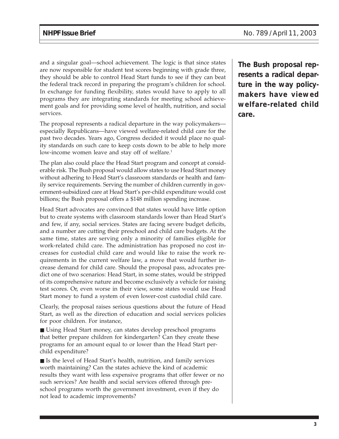and a singular goal—school achievement. The logic is that since states are now responsible for student test scores beginning with grade three, they should be able to control Head Start funds to see if they can beat the federal track record in preparing the program's children for school. In exchange for funding flexibility, states would have to apply to all programs they are integrating standards for meeting school achievement goals and for providing some level of health, nutrition, and social services.

The proposal represents a radical departure in the way policymakers especially Republicans—have viewed welfare-related child care for the past two decades. Years ago, Congress decided it would place no quality standards on such care to keep costs down to be able to help more low-income women leave and stay off of welfare.<sup>1</sup>

The plan also could place the Head Start program and concept at considerable risk. The Bush proposal would allow states to use Head Start money without adhering to Head Start's classroom standards or health and family service requirements. Serving the number of children currently in government-subsidized care at Head Start's per-child expenditure would cost billions; the Bush proposal offers a \$148 million spending increase.

Head Start advocates are convinced that states would have little option but to create systems with classroom standards lower than Head Start's and few, if any, social services. States are facing severe budget deficits, and a number are cutting their preschool and child care budgets. At the same time, states are serving only a minority of families eligible for work-related child care. The administration has proposed no cost increases for custodial child care and would like to raise the work requirements in the current welfare law, a move that would further increase demand for child care. Should the proposal pass, advocates predict one of two scenarios: Head Start, in some states, would be stripped of its comprehensive nature and become exclusively a vehicle for raising test scores. Or, even worse in their view, some states would use Head Start money to fund a system of even lower-cost custodial child care.

Clearly, the proposal raises serious questions about the future of Head Start, as well as the direction of education and social services policies for poor children. For instance,

■ Using Head Start money, can states develop preschool programs that better prepare children for kindergarten? Can they create these programs for an amount equal to or lower than the Head Start perchild expenditure?

■ Is the level of Head Start's health, nutrition, and family services worth maintaining? Can the states achieve the kind of academic results they want with less expensive programs that offer fewer or no such services? Are health and social services offered through preschool programs worth the government investment, even if they do not lead to academic improvements?

**The Bush proposal represents a radical departure in the way policymakers have viewed welfare-related child care.**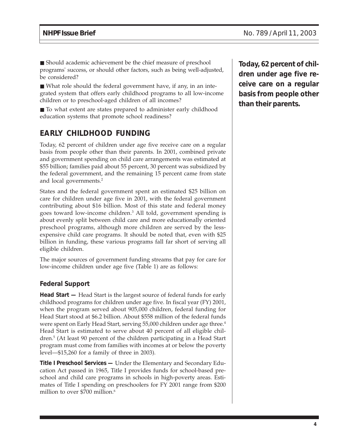■ Should academic achievement be the chief measure of preschool programs' success, or should other factors, such as being well-adjusted, be considered?

■ What role should the federal government have, if any, in an integrated system that offers early childhood programs to all low-income children or to preschool-aged children of all incomes?

■ To what extent are states prepared to administer early childhood education systems that promote school readiness?

# **EARLY CHILDHOOD FUNDING**

Today, 62 percent of children under age five receive care on a regular basis from people other than their parents. In 2001, combined private and government spending on child care arrangements was estimated at \$55 billion; families paid about 55 percent, 30 percent was subsidized by the federal government, and the remaining 15 percent came from state and local governments.2

States and the federal government spent an estimated \$25 billion on care for children under age five in 2001, with the federal government contributing about \$16 billion. Most of this state and federal money goes toward low-income children.3 All told, government spending is about evenly split between child care and more educationally oriented preschool programs, although more children are served by the lessexpensive child care programs. It should be noted that, even with \$25 billion in funding, these various programs fall far short of serving all eligible children.

The major sources of government funding streams that pay for care for low-income children under age five (Table 1) are as follows:

#### **Federal Support**

**Head Start —** Head Start is the largest source of federal funds for early childhood programs for children under age five. In fiscal year (FY) 2001, when the program served about 905,000 children, federal funding for Head Start stood at \$6.2 billion. About \$558 million of the federal funds were spent on Early Head Start, serving 55,000 children under age three.<sup>4</sup> Head Start is estimated to serve about 40 percent of all eligible children.5 (At least 90 percent of the children participating in a Head Start program must come from families with incomes at or below the poverty level—\$15,260 for a family of three in 2003).

**Title I Preschool Services —** Under the Elementary and Secondary Education Act passed in 1965, Title I provides funds for school-based preschool and child care programs in schools in high-poverty areas. Estimates of Title I spending on preschoolers for FY 2001 range from \$200 million to over \$700 million.<sup>6</sup>

**Today, 62 percent of children under age five receive care on a regular basis from people other than their parents.**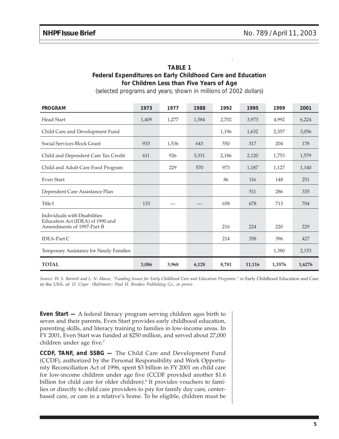| <b>TABLE 1</b>                                             |  |  |  |  |  |  |
|------------------------------------------------------------|--|--|--|--|--|--|
| Federal Expenditures on Early Childhood Care and Education |  |  |  |  |  |  |
| for Children Less than Five Years of Age                   |  |  |  |  |  |  |

(selected programs and years; shown in millions of 2002 dollars)

| <b>PROGRAM</b>                                                                                 | 1973  | 1977  | 1988  | 1992  | 1995   | 1999   | 2001   |
|------------------------------------------------------------------------------------------------|-------|-------|-------|-------|--------|--------|--------|
| <b>Head Start</b>                                                                              | 1,409 | 1,277 | 1,584 | 2,702 | 3,973  | 4,992  | 6,224  |
| Child Care and Development Fund                                                                |       |       |       | 1,196 | 1,632  | 2,357  | 3,056  |
| Social Services Block Grant                                                                    | 933   | 1,536 | 643   | 550   | 317    | 204    | 178    |
| Child and Dependent Care Tax Credit                                                            | 611   | 926   | 3,331 | 2,186 | 2,120  | 1,753  | 1,579  |
| Child and Adult Care Food Program                                                              |       | 229   | 570   | 973   | 1,187  | 1,127  | 1,140  |
| Even Start                                                                                     |       |       |       | 86    | 116    | 148    | 251    |
| Dependent Care Assistance Plan                                                                 |       |       |       |       | 511    | 286    | 335    |
| Title I                                                                                        | 133   |       |       | 658   | 678    | 713    | 704    |
| Individuals with Disabilities<br>Education Act (IDEA) of 1990 and<br>Amendments of 1997-Part B |       |       |       | 216   | 224    | 220    | 229    |
| <b>IDEA-Part C</b>                                                                             |       |       |       | 214   | 358    | 396    | 427    |
| Temporary Assistance for Needy Families                                                        |       |       |       |       |        | 1,380  | 2,153  |
| <b>TOTAL</b>                                                                                   | 3,086 | 3,968 | 6,128 | 8,781 | 11,116 | 1,3576 | 1,6276 |

Source: W. S. Barnett and L. N. Masse, "Funding Issues for Early Childhood Care and Education Programs," in Early Childhood Education and Care in the USA*, ed. D. Cryer (Baltimore:: Paul H. Brookes Publishing Co., in press).*

**Even Start —** A federal literacy program serving children ages birth to seven and their parents, Even Start provides early childhood education, parenting skills, and literacy training to families in low-income areas. In FY 2001, Even Start was funded at \$250 million, and served about 27,000 children under age five.<sup>7</sup>

**CCDF, TANF, and SSBG —** The Child Care and Development Fund (CCDF), authorized by the Personal Responsibility and Work Opportunity Reconciliation Act of 1996, spent \$3 billion in FY 2001 on child care for low-income children under age five (CCDF provided another \$1.6 billion for child care for older children).<sup>8</sup> It provides vouchers to families or directly to child care providers to pay for family day care, centerbased care, or care in a relative's home. To be eligible, children must be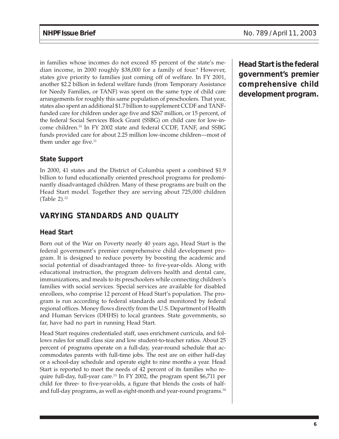in families whose incomes do not exceed 85 percent of the state's median income, in 2000 roughly \$38,000 for a family of four.<sup>9</sup> However, states give priority to families just coming off of welfare. In FY 2001, another \$2.2 billion in federal welfare funds (from Temporary Assistance for Needy Families, or TANF) was spent on the same type of child care arrangements for roughly this same population of preschoolers. That year, states also spent an additional \$1.7 billion to supplement CCDF and TANFfunded care for children under age five and \$267 million, or 15 percent, of the federal Social Services Block Grant (SSBG) on child care for low-income children.10 In FY 2002 state and federal CCDF, TANF, and SSBG funds provided care for about 2.25 million low-income children—most of them under age five. $11$ 

## **State Support**

In 2000, 41 states and the District of Columbia spent a combined \$1.9 billion to fund educationally oriented preschool programs for predominantly disadvantaged children. Many of these programs are built on the Head Start model. Together they are serving about 725,000 children (Table 2). $^{12}$ 

## **VARYING STANDARDS AND QUALITY**

### **Head Start**

Born out of the War on Poverty nearly 40 years ago, Head Start is the federal government's premier comprehensive child development program. It is designed to reduce poverty by boosting the academic and social potential of disadvantaged three- to five-year-olds. Along with educational instruction, the program delivers health and dental care, immunizations, and meals to its preschoolers while connecting children's families with social services. Special services are available for disabled enrollees, who comprise 12 percent of Head Start's population. The program is run according to federal standards and monitored by federal regional offices. Money flows directly from the U.S. Department of Health and Human Services (DHHS) to local grantees. State governments, so far, have had no part in running Head Start.

Head Start requires credentialed staff, uses enrichment curricula, and follows rules for small class size and low student-to-teacher ratios. About 25 percent of programs operate on a full-day, year-round schedule that accommodates parents with full-time jobs. The rest are on either half-day or a school-day schedule and operate eight to nine months a year. Head Start is reported to meet the needs of 42 percent of its families who require full-day, full-year care.13 In FY 2002, the program spent \$6,711 per child for three- to five-year-olds, a figure that blends the costs of halfand full-day programs, as well as eight-month and year-round programs.<sup>14</sup>

**Head Start is the federal government's premier comprehensive child development program.**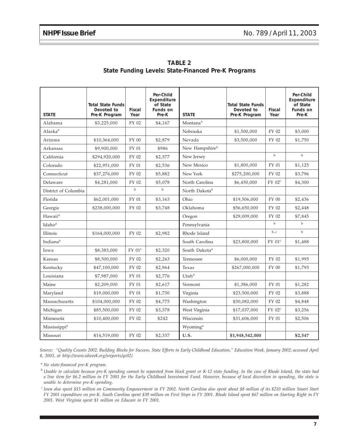| <b>STATE</b>             | <b>Total State Funds</b><br>Devoted to<br>Pre-K Program | Fiscal<br>Year | Per-Child<br>Expenditure<br>of State<br>Funds on<br>Pre-K | <b>STATE</b>               | <b>Total State Funds</b><br>Devoted to<br>Pre-K Program | Fiscal<br>Year | Per-Child<br>Expenditure<br>of State<br>Funds on<br>Pre-K |
|--------------------------|---------------------------------------------------------|----------------|-----------------------------------------------------------|----------------------------|---------------------------------------------------------|----------------|-----------------------------------------------------------|
| Alabama                  | \$3,225,000                                             | FY 02          | \$4,167                                                   | Montana <sup>a</sup>       |                                                         |                |                                                           |
| Alaska <sup>a</sup>      |                                                         |                |                                                           | Nebraska                   | \$1,500,000                                             | FY 02          | \$3,000                                                   |
| Arizona                  | \$10,364,000                                            | FY 00          | \$2,879                                                   | Nevada                     | \$3,500,000                                             | FY 02          | \$1,750                                                   |
| Arkansas                 | \$9,900,000                                             | FY 01          | \$986                                                     | New Hampshire <sup>a</sup> |                                                         |                |                                                           |
| California               | \$294,920,000                                           | FY 02          | \$2,577                                                   | New Jersey                 |                                                         | $_{\rm b}$     | $\mathbf b$                                               |
| Colorado                 | \$22,951,000                                            | FY 01          | \$2,536                                                   | New Mexico                 | \$1,800,000                                             | FY 01          | \$1,125                                                   |
| Connecticut              | \$37,276,000                                            | FY 02          | \$5,882                                                   | New York                   | \$275,200,000                                           | FY 02          | \$3,796                                                   |
| Delaware                 | \$4,281,000                                             | FY 02          | \$5,078                                                   | North Carolina             | \$6,450,000                                             | $FY$ 02 $c$    | \$4,300                                                   |
| District of Columbia     |                                                         | $_{\rm b}$     | $_{\rm b}$                                                | North Dakota <sup>a</sup>  |                                                         |                |                                                           |
| Florida                  | \$62,001,000                                            | FY 01          | \$3,163                                                   | Ohio                       | \$19,506,000                                            | FY 00          | \$2,436                                                   |
| Georgia                  | \$238,000,000                                           | FY 02          | \$3,748                                                   | Oklahoma                   | \$56,650,000                                            | FY 02          | \$2,448                                                   |
| Hawaii <sup>a</sup>      |                                                         |                |                                                           | Oregon                     | \$29,009,000                                            | FY 02          | \$7,845                                                   |
| Idaho <sup>a</sup>       |                                                         |                |                                                           | Pennsylvania               |                                                         | $\mathbf b$    | $_{\rm b}$                                                |
| Illinois                 | \$164,000,000                                           | FY 02          | \$2,982                                                   | Rhode Island               |                                                         | b, c           | $\mathbf b$                                               |
| Indiana <sup>a</sup>     |                                                         |                |                                                           | South Carolina             | \$23,800,000                                            | $FY$ $01c$     | \$1,488                                                   |
| Iowa                     | \$8,383,000                                             | $FY$ $01^c$    | \$2,320                                                   | South Dakota <sup>a</sup>  |                                                         |                |                                                           |
| Kansas                   | \$8,500,000                                             | FY 02          | \$2,263                                                   | Tennessee                  | \$6,000,000                                             | FY 02          | \$1,995                                                   |
| Kentucky                 | \$47,100,000                                            | FY 02          | \$2,964                                                   | Texas                      | \$267,000,000                                           | FY 00          | \$1,793                                                   |
| Louisiana                | \$7,987,000                                             | FY 01          | \$2,776                                                   | Utah <sup>a</sup>          |                                                         |                |                                                           |
| Maine                    | \$2,209,000                                             | FY 01          | \$2,617                                                   | Vermont                    | \$1,386,000                                             | FY 01          | \$1,282                                                   |
| Maryland                 | \$19,000,000                                            | FY 01          | \$1,730                                                   | Virginia                   | \$23,500,000                                            | FY 02          | \$3,888                                                   |
| Massachusetts            | \$104,000,000                                           | FY 02          | \$4,775                                                   | Washington                 | \$30,082,000                                            | FY 02          | \$4,848                                                   |
| Michigan                 | \$85,500,000                                            | FY 02          | \$3,378                                                   | West Virginia              | \$17,037,000                                            | $FY$ 02 $c$    | \$3,256                                                   |
| Minnesota                | \$10,400,000                                            | FY 02          | \$242                                                     | Wisconsin                  | \$31,606,000                                            | FY 01          | \$2,506                                                   |
| Mississippi <sup>a</sup> |                                                         |                |                                                           | Wyoming <sup>a</sup>       |                                                         |                |                                                           |
| Missouri                 | \$14,519,000                                            | FY 02          | \$2,337                                                   | U.S.                       | \$1,948,542,000                                         |                | \$2,547                                                   |

**TABLE 2 State Funding Levels: State-Financed Pre-K Programs**

*Source: "Quality Counts 2002: Building Blocks for Success, State Efforts in Early Childhood Education," Education Week, January 2002; accessed April 8, 2003, at http://www.edweek.org/sreports/qc02/.*

*<sup>a</sup> No state-financed pre-K program.*

*<sup>b</sup> Unable to calculate because pre-K spending cannot be separated from block grant or K-12 state funding. In the case of Rhode Island, the state had a line item for \$6.2 million in FY 2001 for the Early Childhood Investment Fund. However, because of local discretion in spending, the state is unable to determine pre-K spending.*

*<sup>c</sup> Iowa also spent \$15 million on Community Empowerment in FY 2002. North Carolina also spent about \$8 million of its \$210 million Smart Start FY 2001 expenditure on pre-K. South Carolina spent \$39 million on First Steps in FY 2001. Rhode Island spent \$67 million on Starting Right in FY 2001. West Virginia spent \$1 million on Educare in FY 2001.*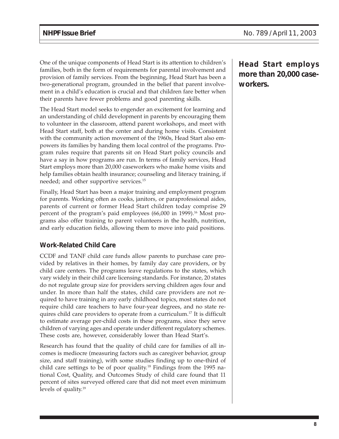One of the unique components of Head Start is its attention to children's families, both in the form of requirements for parental involvement and provision of family services. From the beginning, Head Start has been a two-generational program, grounded in the belief that parent involvement in a child's education is crucial and that children fare better when their parents have fewer problems and good parenting skills.

The Head Start model seeks to engender an excitement for learning and an understanding of child development in parents by encouraging them to volunteer in the classroom, attend parent workshops, and meet with Head Start staff, both at the center and during home visits. Consistent with the community action movement of the 1960s, Head Start also empowers its families by handing them local control of the programs. Program rules require that parents sit on Head Start policy councils and have a say in how programs are run. In terms of family services, Head Start employs more than 20,000 caseworkers who make home visits and help families obtain health insurance; counseling and literacy training, if needed; and other supportive services.15

Finally, Head Start has been a major training and employment program for parents. Working often as cooks, janitors, or paraprofessional aides, parents of current or former Head Start children today comprise 29 percent of the program's paid employees (66,000 in 1999).<sup>16</sup> Most programs also offer training to parent volunteers in the health, nutrition, and early education fields, allowing them to move into paid positions.

### **Work-Related Child Care**

CCDF and TANF child care funds allow parents to purchase care provided by relatives in their homes, by family day care providers, or by child care centers. The programs leave regulations to the states, which vary widely in their child care licensing standards. For instance, 20 states do not regulate group size for providers serving children ages four and under. In more than half the states, child care providers are not required to have training in any early childhood topics, most states do not require child care teachers to have four-year degrees, and no state requires child care providers to operate from a curriculum.17 It is difficult to estimate average per-child costs in these programs, since they serve children of varying ages and operate under different regulatory schemes. These costs are, however, considerably lower than Head Start's.

Research has found that the quality of child care for families of all incomes is mediocre (measuring factors such as caregiver behavior, group size, and staff training), with some studies finding up to one-third of child care settings to be of poor quality.18 Findings from the 1995 national Cost, Quality, and Outcomes Study of child care found that 11 percent of sites surveyed offered care that did not meet even minimum levels of quality.19

**Head Start employs more than 20,000 caseworkers.**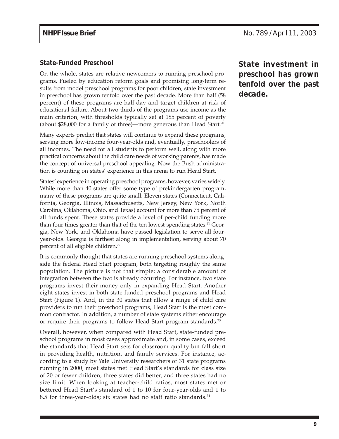#### **State-Funded Preschool**

On the whole, states are relative newcomers to running preschool programs. Fueled by education reform goals and promising long-term results from model preschool programs for poor children, state investment in preschool has grown tenfold over the past decade. More than half (58 percent) of these programs are half-day and target children at risk of educational failure. About two-thirds of the programs use income as the main criterion, with thresholds typically set at 185 percent of poverty (about \$28,000 for a family of three)—more generous than Head Start.<sup>20</sup>

Many experts predict that states will continue to expand these programs, serving more low-income four-year-olds and, eventually, preschoolers of all incomes. The need for all students to perform well, along with more practical concerns about the child care needs of working parents, has made the concept of universal preschool appealing. Now the Bush administration is counting on states' experience in this arena to run Head Start.

States' experience in operating preschool programs, however, varies widely. While more than 40 states offer some type of prekindergarten program, many of these programs are quite small. Eleven states (Connecticut, California, Georgia, Illinois, Massachusetts, New Jersey, New York, North Carolina, Oklahoma, Ohio, and Texas) account for more than 75 percent of all funds spent. These states provide a level of per-child funding more than four times greater than that of the ten lowest-spending states.<sup>21</sup> Georgia, New York, and Oklahoma have passed legislation to serve all fouryear-olds. Georgia is farthest along in implementation, serving about 70 percent of all eligible children.<sup>22</sup>

It is commonly thought that states are running preschool systems alongside the federal Head Start program, both targeting roughly the same population. The picture is not that simple; a considerable amount of integration between the two is already occurring. For instance, two state programs invest their money only in expanding Head Start. Another eight states invest in both state-funded preschool programs and Head Start (Figure 1). And, in the 30 states that allow a range of child care providers to run their preschool programs, Head Start is the most common contractor. In addition, a number of state systems either encourage or require their programs to follow Head Start program standards.<sup>23</sup>

Overall, however, when compared with Head Start, state-funded preschool programs in most cases approximate and, in some cases, exceed the standards that Head Start sets for classroom quality but fall short in providing health, nutrition, and family services. For instance, according to a study by Yale University researchers of 31 state programs running in 2000, most states met Head Start's standards for class size of 20 or fewer children, three states did better, and three states had no size limit. When looking at teacher-child ratios, most states met or bettered Head Start's standard of 1 to 10 for four-year-olds and 1 to 8.5 for three-year-olds; six states had no staff ratio standards.<sup>24</sup>

**State investment in preschool has grown tenfold over the past decade.**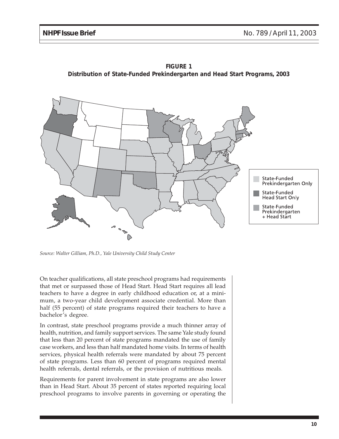



*Source: Walter Gilliam, Ph.D., Yale University Child Study Center*

On teacher qualifications, all state preschool programs had requirements that met or surpassed those of Head Start. Head Start requires all lead teachers to have a degree in early childhood education or, at a minimum, a two-year child development associate credential. More than half (55 percent) of state programs required their teachers to have a bachelor's degree.

In contrast, state preschool programs provide a much thinner array of health, nutrition, and family support services. The same Yale study found that less than 20 percent of state programs mandated the use of family case workers, and less than half mandated home visits. In terms of health services, physical health referrals were mandated by about 75 percent of state programs. Less than 60 percent of programs required mental health referrals, dental referrals, or the provision of nutritious meals.

Requirements for parent involvement in state programs are also lower than in Head Start. About 35 percent of states reported requiring local preschool programs to involve parents in governing or operating the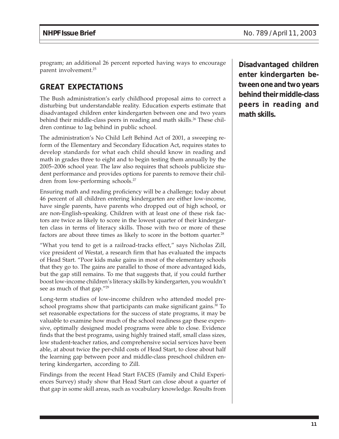program; an additional 26 percent reported having ways to encourage parent involvement.25

# **GREAT EXPECTATIONS**

The Bush administration's early childhood proposal aims to correct a disturbing but understandable reality. Education experts estimate that disadvantaged children enter kindergarten between one and two years behind their middle-class peers in reading and math skills.<sup>26</sup> These children continue to lag behind in public school.

The administration's No Child Left Behind Act of 2001, a sweeping reform of the Elementary and Secondary Education Act, requires states to develop standards for what each child should know in reading and math in grades three to eight and to begin testing them annually by the 2005–2006 school year. The law also requires that schools publicize student performance and provides options for parents to remove their children from low-performing schools.27

Ensuring math and reading proficiency will be a challenge; today about 46 percent of all children entering kindergarten are either low-income, have single parents, have parents who dropped out of high school, or are non-English-speaking. Children with at least one of these risk factors are twice as likely to score in the lowest quarter of their kindergarten class in terms of literacy skills. Those with two or more of these factors are about three times as likely to score in the bottom quarter.<sup>28</sup>

"What you tend to get is a railroad-tracks effect," says Nicholas Zill, vice president of Westat, a research firm that has evaluated the impacts of Head Start. "Poor kids make gains in most of the elementary schools that they go to. The gains are parallel to those of more advantaged kids, but the gap still remains. To me that suggests that, if you could further boost low-income children's literacy skills by kindergarten, you wouldn't see as much of that gap."<sup>29</sup>

Long-term studies of low-income children who attended model preschool programs show that participants can make significant gains.<sup>30</sup> To set reasonable expectations for the success of state programs, it may be valuable to examine how much of the school readiness gap these expensive, optimally designed model programs were able to close. Evidence finds that the best programs, using highly trained staff, small class sizes, low student-teacher ratios, and comprehensive social services have been able, at about twice the per-child costs of Head Start, to close about half the learning gap between poor and middle-class preschool children entering kindergarten, according to Zill.

Findings from the recent Head Start FACES (Family and Child Experiences Survey) study show that Head Start can close about a quarter of that gap in some skill areas, such as vocabulary knowledge. Results from

**Disadvantaged children enter kindergarten between one and two years behind their middle-class peers in reading and math skills.**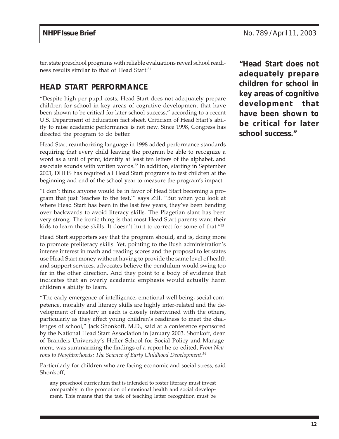ten state preschool programs with reliable evaluations reveal school readiness results similar to that of Head Start.31

## **HEAD START PERFORMANCE**

"Despite high per pupil costs, Head Start does not adequately prepare children for school in key areas of cognitive development that have been shown to be critical for later school success," according to a recent U.S. Department of Education fact sheet. Criticism of Head Start's ability to raise academic performance is not new. Since 1998, Congress has directed the program to do better.

Head Start reauthorizing language in 1998 added performance standards requiring that every child leaving the program be able to recognize a word as a unit of print, identify at least ten letters of the alphabet, and associate sounds with written words.32 In addition, starting in September 2003, DHHS has required all Head Start programs to test children at the beginning and end of the school year to measure the program's impact.

"I don't think anyone would be in favor of Head Start becoming a program that just 'teaches to the test,'" says Zill. "But when you look at where Head Start has been in the last few years, they've been bending over backwards to avoid literacy skills. The Piagetian slant has been very strong. The ironic thing is that most Head Start parents want their kids to learn those skills. It doesn't hurt to correct for some of that."33

Head Start supporters say that the program should, and is, doing more to promote preliteracy skills. Yet, pointing to the Bush administration's intense interest in math and reading scores and the proposal to let states use Head Start money without having to provide the same level of health and support services, advocates believe the pendulum would swing too far in the other direction. And they point to a body of evidence that indicates that an overly academic emphasis would actually harm children's ability to learn.

"The early emergence of intelligence, emotional well-being, social competence, morality and literacy skills are highly inter-related and the development of mastery in each is closely intertwined with the others, particularly as they affect young children's readiness to meet the challenges of school," Jack Shonkoff, M.D., said at a conference sponsored by the National Head Start Association in January 2003. Shonkoff, dean of Brandeis University's Heller School for Social Policy and Management, was summarizing the findings of a report he co-edited, *From Neurons to Neighborhoods: The Science of Early Childhood Development*. 34

Particularly for children who are facing economic and social stress, said Shonkoff,

any preschool curriculum that is intended to foster literacy must invest comparably in the promotion of emotional health and social development. This means that the task of teaching letter recognition must be

**"Head Start does not adequately prepare children for school in key areas of cognitive development that have been shown to be critical for later school success."**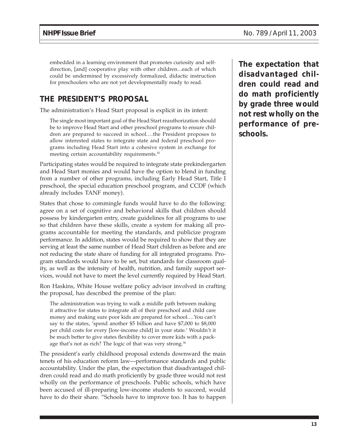embedded in a learning environment that promotes curiosity and selfdirection, [and] cooperative play with other children...each of which could be undermined by excessively formalized, didactic instruction for preschoolers who are not yet developmentally ready to read.

## **THE PRESIDENT'S PROPOSAL**

The administration's Head Start proposal is explicit in its intent:

The single most important goal of the Head Start reauthorization should be to improve Head Start and other preschool programs to ensure children are prepared to succeed in school....the President proposes to allow interested states to integrate state and federal preschool programs including Head Start into a cohesive system in exchange for meeting certain accountability requirements.<sup>35</sup>

Participating states would be required to integrate state prekindergarten and Head Start monies and would have the option to blend in funding from a number of other programs, including Early Head Start, Title I preschool, the special education preschool program, and CCDF (which already includes TANF money).

States that chose to commingle funds would have to do the following: agree on a set of cognitive and behavioral skills that children should possess by kindergarten entry, create guidelines for all programs to use so that children have these skills, create a system for making all programs accountable for meeting the standards, and publicize program performance. In addition, states would be required to show that they are serving at least the same number of Head Start children as before and are not reducing the state share of funding for all integrated programs. Program standards would have to be set, but standards for classroom quality, as well as the intensity of health, nutrition, and family support services, would not have to meet the level currently required by Head Start.

Ron Haskins, White House welfare policy advisor involved in crafting the proposal, has described the premise of the plan:

The administration was trying to walk a middle path between making it attractive for states to integrate all of their preschool and child care money and making sure poor kids are prepared for school....You can't say to the states, 'spend another \$5 billion and have \$7,000 to \$8,000 per child costs for every [low-income child] in your state.' Wouldn't it be much better to give states flexibility to cover more kids with a package that's not as rich? The logic of that was very strong.<sup>36</sup>

The president's early childhood proposal extends downward the main tenets of his education reform law—performance standards and public accountability. Under the plan, the expectation that disadvantaged children could read and do math proficiently by grade three would not rest wholly on the performance of preschools. Public schools, which have been accused of ill-preparing low-income students to succeed, would have to do their share. "Schools have to improve too. It has to happen

**The expectation that disadvantaged children could read and do math proficiently by grade three would not rest wholly on the performance of preschools.**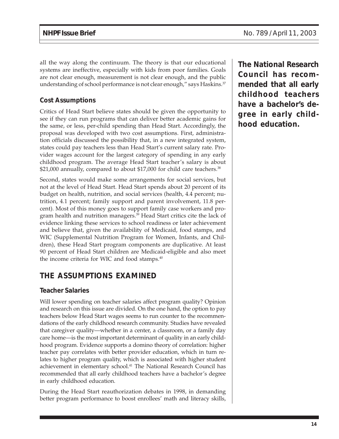all the way along the continuum. The theory is that our educational systems are ineffective, especially with kids from poor families. Goals are not clear enough, measurement is not clear enough, and the public understanding of school performance is not clear enough," says Haskins.<sup>37</sup>

#### **Cost Assumptions**

Critics of Head Start believe states should be given the opportunity to see if they can run programs that can deliver better academic gains for the same, or less, per-child spending than Head Start. Accordingly, the proposal was developed with two cost assumptions. First, administration officials discussed the possibility that, in a new integrated system, states could pay teachers less than Head Start's current salary rate. Provider wages account for the largest category of spending in any early childhood program. The average Head Start teacher's salary is about \$21,000 annually, compared to about \$17,000 for child care teachers.<sup>38</sup>

Second, states would make some arrangements for social services, but not at the level of Head Start. Head Start spends about 20 percent of its budget on health, nutrition, and social services (health, 4.4 percent; nutrition, 4.1 percent; family support and parent involvement, 11.8 percent). Most of this money goes to support family case workers and program health and nutrition managers.<sup>39</sup> Head Start critics cite the lack of evidence linking these services to school readiness or later achievement and believe that, given the availability of Medicaid, food stamps, and WIC (Supplemental Nutrition Program for Women, Infants, and Children), these Head Start program components are duplicative. At least 90 percent of Head Start children are Medicaid-eligible and also meet the income criteria for WIC and food stamps. $40$ 

## **THE ASSUMPTIONS EXAMINED**

#### **Teacher Salaries**

Will lower spending on teacher salaries affect program quality? Opinion and research on this issue are divided. On the one hand, the option to pay teachers below Head Start wages seems to run counter to the recommendations of the early childhood research community. Studies have revealed that caregiver quality—whether in a center, a classroom, or a family day care home—is the most important determinant of quality in an early childhood program. Evidence supports a domino theory of correlation: higher teacher pay correlates with better provider education, which in turn relates to higher program quality, which is associated with higher student achievement in elementary school.<sup>41</sup> The National Research Council has recommended that all early childhood teachers have a bachelor's degree in early childhood education.

During the Head Start reauthorization debates in 1998, in demanding better program performance to boost enrollees' math and literacy skills,

**The National Research Council has recommended that all early childhood teachers have a bachelor's degree in early childhood education.**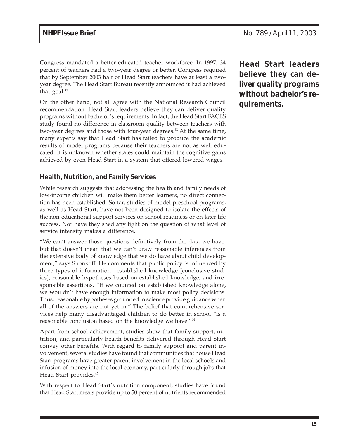Congress mandated a better-educated teacher workforce. In 1997, 34 percent of teachers had a two-year degree or better. Congress required that by September 2003 half of Head Start teachers have at least a twoyear degree. The Head Start Bureau recently announced it had achieved that goal.<sup>42</sup>

On the other hand, not all agree with the National Research Council recommendation. Head Start leaders believe they can deliver quality programs without bachelor's requirements. In fact, the Head Start FACES study found no difference in classroom quality between teachers with two-year degrees and those with four-year degrees.<sup>43</sup> At the same time, many experts say that Head Start has failed to produce the academic results of model programs because their teachers are not as well educated. It is unknown whether states could maintain the cognitive gains achieved by even Head Start in a system that offered lowered wages.

#### **Health, Nutrition, and Family Services**

While research suggests that addressing the health and family needs of low-income children will make them better learners, no direct connection has been established. So far, studies of model preschool programs, as well as Head Start, have not been designed to isolate the effects of the non-educational support services on school readiness or on later life success. Nor have they shed any light on the question of what level of service intensity makes a difference.

"We can't answer those questions definitively from the data we have, but that doesn't mean that we can't draw reasonable inferences from the extensive body of knowledge that we do have about child development," says Shonkoff. He comments that public policy is influenced by three types of information—established knowledge [conclusive studies], reasonable hypotheses based on established knowledge, and irresponsible assertions. "If we counted on established knowledge alone, we wouldn't have enough information to make most policy decisions. Thus, reasonable hypotheses grounded in science provide guidance when all of the answers are not yet in." The belief that comprehensive services help many disadvantaged children to do better in school "is a reasonable conclusion based on the knowledge we have."44

Apart from school achievement, studies show that family support, nutrition, and particularly health benefits delivered through Head Start convey other benefits. With regard to family support and parent involvement, several studies have found that communities that house Head Start programs have greater parent involvement in the local schools and infusion of money into the local economy, particularly through jobs that Head Start provides.45

With respect to Head Start's nutrition component, studies have found that Head Start meals provide up to 50 percent of nutrients recommended

**Head Start leaders believe they can deliver quality programs without bachelor's requirements.**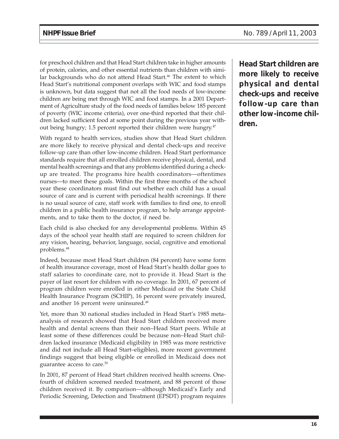for preschool children and that Head Start children take in higher amounts of protein, calories, and other essential nutrients than children with similar backgrounds who do not attend Head Start.<sup>46</sup> The extent to which Head Start's nutritional component overlaps with WIC and food stamps is unknown, but data suggest that not all the food needs of low-income children are being met through WIC and food stamps. In a 2001 Department of Agriculture study of the food needs of families below 185 percent of poverty (WIC income criteria), over one-third reported that their children lacked sufficient food at some point during the previous year without being hungry; 1.5 percent reported their children were hungry.<sup>47</sup>

With regard to health services, studies show that Head Start children are more likely to receive physical and dental check-ups and receive follow-up care than other low-income children. Head Start performance standards require that all enrolled children receive physical, dental, and mental health screenings and that any problems identified during a checkup are treated. The programs hire health coordinators—oftentimes nurses—to meet these goals. Within the first three months of the school year these coordinators must find out whether each child has a usual source of care and is current with periodical health screenings. If there is no usual source of care, staff work with families to find one, to enroll children in a public health insurance program, to help arrange appointments, and to take them to the doctor, if need be.

Each child is also checked for any developmental problems. Within 45 days of the school year health staff are required to screen children for any vision, hearing, behavior, language, social, cognitive and emotional problems.48

Indeed, because most Head Start children (84 percent) have some form of health insurance coverage, most of Head Start's health dollar goes to staff salaries to coordinate care, not to provide it. Head Start is the payer of last resort for children with no coverage. In 2001, 67 percent of program children were enrolled in either Medicaid or the State Child Health Insurance Program (SCHIP), 16 percent were privately insured, and another 16 percent were uninsured.<sup>49</sup>

Yet, more than 30 national studies included in Head Start's 1985 metaanalysis of research showed that Head Start children received more health and dental screens than their non–Head Start peers. While at least some of these differences could be because non–Head Start children lacked insurance (Medicaid eligibility in 1985 was more restrictive and did not include all Head Start–eligibles), more recent government findings suggest that being eligible or enrolled in Medicaid does not guarantee access to care.50

In 2001, 87 percent of Head Start children received health screens. Onefourth of children screened needed treatment, and 88 percent of those children received it. By comparison—although Medicaid's Early and Periodic Screening, Detection and Treatment (EPSDT) program requires

**Head Start children are more likely to receive physical and dental check-ups and receive follow-up care than other low-income children.**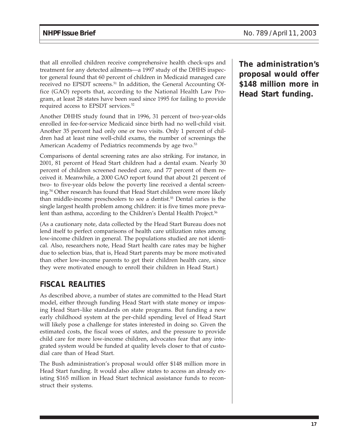that all enrolled children receive comprehensive health check-ups and treatment for any detected ailments—a 1997 study of the DHHS inspector general found that 60 percent of children in Medicaid managed care received no EPSDT screens.<sup>51</sup> In addition, the General Accounting Office (GAO) reports that, according to the National Health Law Program, at least 28 states have been sued since 1995 for failing to provide required access to EPSDT services.<sup>52</sup>

Another DHHS study found that in 1996, 31 percent of two-year-olds enrolled in fee-for-service Medicaid since birth had no well-child visit. Another 35 percent had only one or two visits. Only 1 percent of children had at least nine well-child exams, the number of screenings the American Academy of Pediatrics recommends by age two.<sup>53</sup>

Comparisons of dental screening rates are also striking. For instance, in 2001, 81 percent of Head Start children had a dental exam. Nearly 30 percent of children screened needed care, and 77 percent of them received it. Meanwhile, a 2000 GAO report found that about 21 percent of two- to five-year olds below the poverty line received a dental screening.54 Other research has found that Head Start children were more likely than middle-income preschoolers to see a dentist.<sup>55</sup> Dental caries is the single largest health problem among children: it is five times more prevalent than asthma, according to the Children's Dental Health Project.<sup>56</sup>

(As a cautionary note, data collected by the Head Start Bureau does not lend itself to perfect comparisons of health care utilization rates among low-income children in general. The populations studied are not identical. Also, researchers note, Head Start health care rates may be higher due to selection bias, that is, Head Start parents may be more motivated than other low-income parents to get their children health care, since they were motivated enough to enroll their children in Head Start.)

## **FISCAL REALITIES**

As described above, a number of states are committed to the Head Start model, either through funding Head Start with state money or imposing Head Start–like standards on state programs. But funding a new early childhood system at the per-child spending level of Head Start will likely pose a challenge for states interested in doing so. Given the estimated costs, the fiscal woes of states, and the pressure to provide child care for more low-income children, advocates fear that any integrated system would be funded at quality levels closer to that of custodial care than of Head Start.

The Bush administration's proposal would offer \$148 million more in Head Start funding. It would also allow states to access an already existing \$165 million in Head Start technical assistance funds to reconstruct their systems.

**The administration's proposal would offer \$148 million more in Head Start funding.**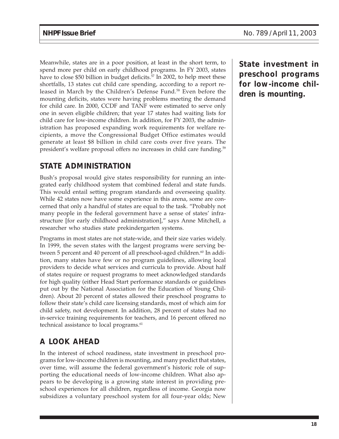Meanwhile, states are in a poor position, at least in the short term, to spend more per child on early childhood programs. In FY 2003, states have to close \$50 billion in budget deficits.<sup>57</sup> In 2002, to help meet these shortfalls, 13 states cut child care spending, according to a report released in March by the Children's Defense Fund.<sup>58</sup> Even before the mounting deficits, states were having problems meeting the demand for child care. In 2000, CCDF and TANF were estimated to serve only one in seven eligible children; that year 17 states had waiting lists for child care for low-income children. In addition, for FY 2003, the administration has proposed expanding work requirements for welfare recipients, a move the Congressional Budget Office estimates would generate at least \$8 billion in child care costs over five years. The president's welfare proposal offers no increases in child care funding.<sup>59</sup>

# **STATE ADMINISTRATION**

Bush's proposal would give states responsibility for running an integrated early childhood system that combined federal and state funds. This would entail setting program standards and overseeing quality. While 42 states now have some experience in this arena, some are concerned that only a handful of states are equal to the task. "Probably not many people in the federal government have a sense of states' infrastructure [for early childhood administration]," says Anne Mitchell, a researcher who studies state prekindergarten systems.

Programs in most states are not state-wide, and their size varies widely. In 1999, the seven states with the largest programs were serving between 5 percent and 40 percent of all preschool-aged children.<sup>60</sup> In addition, many states have few or no program guidelines, allowing local providers to decide what services and curricula to provide. About half of states require or request programs to meet acknowledged standards for high quality (either Head Start performance standards or guidelines put out by the National Association for the Education of Young Children). About 20 percent of states allowed their preschool programs to follow their state's child care licensing standards, most of which aim for child safety, not development. In addition, 28 percent of states had no in-service training requirements for teachers, and 16 percent offered no technical assistance to local programs.<sup>61</sup>

# **A LOOK AHEAD**

In the interest of school readiness, state investment in preschool programs for low-income children is mounting, and many predict that states, over time, will assume the federal government's historic role of supporting the educational needs of low-income children. What also appears to be developing is a growing state interest in providing preschool experiences for all children, regardless of income. Georgia now subsidizes a voluntary preschool system for all four-year olds; New

**State investment in preschool programs for low-income children is mounting.**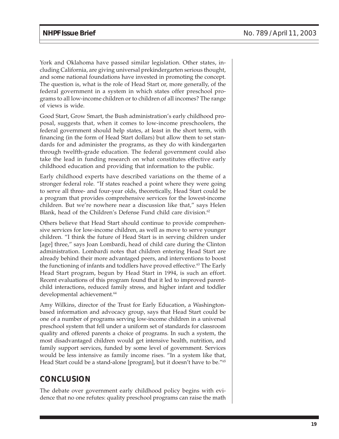York and Oklahoma have passed similar legislation. Other states, including California, are giving universal prekindergarten serious thought, and some national foundations have invested in promoting the concept. The question is, what is the role of Head Start or, more generally, of the federal government in a system in which states offer preschool programs to all low-income children or to children of all incomes? The range of views is wide.

Good Start, Grow Smart, the Bush administration's early childhood proposal, suggests that, when it comes to low-income preschoolers, the federal government should help states, at least in the short term, with financing (in the form of Head Start dollars) but allow them to set standards for and administer the programs, as they do with kindergarten through twelfth-grade education. The federal government could also take the lead in funding research on what constitutes effective early childhood education and providing that information to the public.

Early childhood experts have described variations on the theme of a stronger federal role. "If states reached a point where they were going to serve all three- and four-year olds, theoretically, Head Start could be a program that provides comprehensive services for the lowest-income children. But we're nowhere near a discussion like that," says Helen Blank, head of the Children's Defense Fund child care division.<sup>62</sup>

Others believe that Head Start should continue to provide comprehensive services for low-income children, as well as move to serve younger children. "I think the future of Head Start is in serving children under [age] three," says Joan Lombardi, head of child care during the Clinton administration. Lombardi notes that children entering Head Start are already behind their more advantaged peers, and interventions to boost the functioning of infants and toddlers have proved effective.63 The Early Head Start program, begun by Head Start in 1994, is such an effort. Recent evaluations of this program found that it led to improved parentchild interactions, reduced family stress, and higher infant and toddler developmental achievement.<sup>64</sup>

Amy Wilkins, director of the Trust for Early Education, a Washingtonbased information and advocacy group, says that Head Start could be one of a number of programs serving low-income children in a universal preschool system that fell under a uniform set of standards for classroom quality and offered parents a choice of programs. In such a system, the most disadvantaged children would get intensive health, nutrition, and family support services, funded by some level of government. Services would be less intensive as family income rises. "In a system like that, Head Start could be a stand-alone [program], but it doesn't have to be."<sup>65</sup>

## **CONCLUSION**

The debate over government early childhood policy begins with evidence that no one refutes: quality preschool programs can raise the math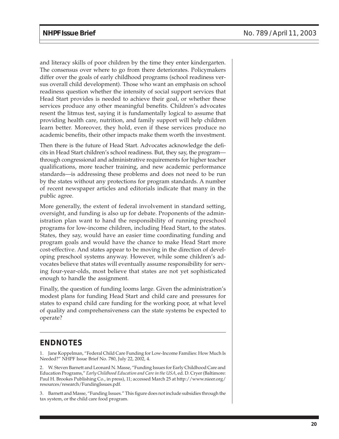and literacy skills of poor children by the time they enter kindergarten. The consensus over where to go from there deteriorates. Policymakers differ over the goals of early childhood programs (school readiness versus overall child development). Those who want an emphasis on school readiness question whether the intensity of social support services that Head Start provides is needed to achieve their goal, or whether these services produce any other meaningful benefits. Children's advocates resent the litmus test, saying it is fundamentally logical to assume that providing health care, nutrition, and family support will help children learn better. Moreover, they hold, even if these services produce no academic benefits, their other impacts make them worth the investment.

Then there is the future of Head Start. Advocates acknowledge the deficits in Head Start children's school readiness. But, they say, the program through congressional and administrative requirements for higher teacher qualifications, more teacher training, and new academic performance standards—is addressing these problems and does not need to be run by the states without any protections for program standards. A number of recent newspaper articles and editorials indicate that many in the public agree.

More generally, the extent of federal involvement in standard setting, oversight, and funding is also up for debate. Proponents of the administration plan want to hand the responsibility of running preschool programs for low-income children, including Head Start, to the states. States, they say, would have an easier time coordinating funding and program goals and would have the chance to make Head Start more cost-effective. And states appear to be moving in the direction of developing preschool systems anyway. However, while some children's advocates believe that states will eventually assume responsibility for serving four-year-olds, most believe that states are not yet sophisticated enough to handle the assignment.

Finally, the question of funding looms large. Given the administration's modest plans for funding Head Start and child care and pressures for states to expand child care funding for the working poor, at what level of quality and comprehensiveness can the state systems be expected to operate?

## **ENDNOTES**

1. Jane Koppelman, "Federal Child Care Funding for Low-Income Families: How Much Is Needed?" NHPF Issue Brief No. 780, July 22, 2002, 4.

2. W. Steven Barnett and Leonard N. Masse, "Funding Issues for Early Childhood Care and Education Programs," *Early Childhood Education and Care in the USA,* ed. D. Cryer (Baltimore: Paul H. Brookes Publishing Co., in press), 11; accessed March 25 at http://www.nieer.org/ resources/research/FundingIssues.pdf.

3. Barnett and Masse, "Funding Issues." This figure does not include subsidies through the tax system, or the child care food program.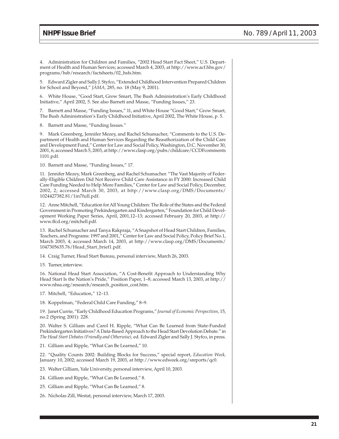4. Administration for Children and Families, "2002 Head Start Fact Sheet," U.S. Department of Health and Human Services; accessed March 4, 2003, at http://www.acf.hhs.gov/ programs/hsb/research/factsheets/02\_hsfs.htm.

5. Edward Zigler and Sally J. Styfco, "Extended Childhood Intervention Prepared Children for School and Beyond," *JAMA,* 285, no. 18 (May 9, 2001).

6. White House, "Good Start, Grow Smart, The Bush Administration's Early Childhood Initiative," April 2002, 5. See also Barnett and Masse, "Funding Issues," 23.

7. Barnett and Masse, "Funding Issues," 11, and White House "Good Start," Grow Smart, The Bush Administration's Early Childhood Initiative, April 2002, The White House, p. 5.

8. Barnett and Masse, "Funding Issues."

9. Mark Greenberg, Jennifer Mezey, and Rachel Schumacher, "Comments to the U.S. Department of Health and Human Services Regarding the Reauthorization of the Child Care and Development Fund," Center for Law and Social Policy, Washington, D.C. November 30, 2001, 6; accessed March 5, 2003, at http://www.clasp.org/pubs/childcare/CCDFcomments 1101.pdf.

10. Barnett and Masse, "Funding Issues," 17.

11. Jennifer Mezey, Mark Greenberg, and Rachel Schumacher. "The Vast Majority of Federally-Eligible Children Did Not Receive Child Care Assistance in FY 2000: Increased Child Care Funding Needed to Help More Families," Center for Law and Social Policy, December, 2002, 2; accessed March 30, 2003, at http://www.clasp.org/DMS/Documents/ 1024427382.81/1in7full.pdf.

12. Anne Mitchell, "Education for All Young Children: The Role of the States and the Federal Government in Promoting Prekindergarten and Kindergarten," Foundation for Child Development Working Paper Series, April, 2001,12–13; accessed February 20, 2003, at http:// www.ffcd.org/mitchell.pdf.

13. Rachel Schumacher and Tanya Rakpraja, "A Snapshot of Head Start Children, Families, Teachers, and Programs: 1997 and 2001," Center for Law and Social Policy, Policy Brief No.1, March 2003, 4; accessed March 14, 2003, at http://www.clasp.org/DMS/Documents/ 1047305635.76/Head\_Start\_brief1.pdf.

14. Craig Turner, Head Start Bureau, personal interview, March 26, 2003.

15. Turner, interview.

16. National Head Start Association, "A Cost-Benefit Approach to Understanding Why Head Start Is the Nation's Pride," Position Paper, 1–8; accessed March 13, 2003, at http:// www.nhsa.org/research/research\_position\_cost.htm.

17. Mitchell, "Education," 12–13.

18. Koppelman, "Federal Child Care Funding," 8–9.

19. Janet Currie, "Early Childhood Education Programs," *Journal of Economic Perspectives,* 15, no.2 (Spring 2001): 228.

20. Walter S. Gilliam and Carol H. Ripple, "What Can Be Learned from State-Funded Prekindergarten Initiatives? A Data-Based Approach to the Head Start Devolution Debate." in *The Head Start Debates (Friendly and Otherwise),* ed. Edward Zigler and Sally J. Styfco, in press.

21. Gilliam and Ripple, "What Can Be Learned," 10.

22. "Quality Counts 2002: Building Blocks for Success," special report, *Education Week,* January 10, 2002; accessed March 19, 2003, at http://www.edweek.org/sreports/qc0.

23. Walter Gilliam, Yale University, personal interview, April 10, 2003.

24. Gilliam and Ripple, "What Can Be Learned," 8.

25. Gilliam and Ripple, "What Can Be Learned," 8.

26. Nicholas Zill, Westat, personal interview, March 17, 2003.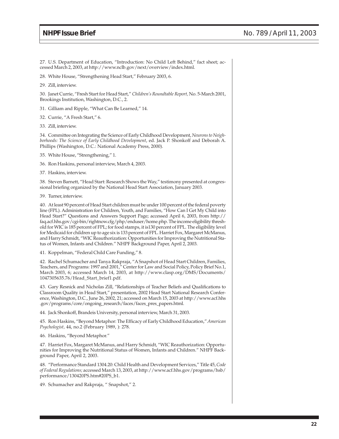27. U.S. Department of Education, "Introduction: No Child Left Behind," fact sheet; accessed March 2, 2003, at http://www.nclb.gov/next/overview/index.html.

28. White House, "Strengthening Head Start," February 2003, 6.

29. Zill, interview.

30. Janet Currie, "Fresh Start for Head Start," *Children's Roundtable Report,* No. 5-March 2001, Brookings Institution, Washington, D.C., 2.

31. Gilliam and Ripple, "What Can Be Learned," 14.

32. Currie, "A Fresh Start," 6.

33. Zill, interview.

34. Committee on Integrating the Science of Early Childhood Development, *Neurons to Neighborhoods: The Science of Early Childhood Development*, ed. Jack P. Shonkoff and Deborah A. Phillips (Washington, D.C.: National Academy Press, 2000).

- 35. White House, "Strengthening," 1.
- 36. Ron Haskins, personal interview, March 4, 2003.
- 37. Haskins, interview.

38. Steven Barnett, "Head Start: Research Shows the Way," testimony presented at congressional briefing organized by the National Head Start Association, January 2003.

39. Turner, interview.

40. At least 90 percent of Head Start children must be under 100 percent of the federal poverty line (FPL). Administration for Children, Youth, and Families, "How Can I Get My Child into Head Start?" Questions and Answers Support Page; accessed April 6, 2003, from http:// faq.acf.hhs.gov/cgi-bin/rightnow.cfg/php/enduser/home.php. The income eligibility threshold for WIC is 185 percent of FPL; for food stamps, it is130 percent of FPL. The eligibility level for Medicaid for children up to age six is 133 percent of FPL. Harriet Fox, Margaret McManus, and Harry Schmidt, "WIC Reauthorization: Opportunities for Improving the Nutritional Status of Women, Infants and Children." NHPF Background Paper, April 2, 2003.

41. Koppelman, "Federal Child Care Funding," 8.

42. Rachel Schumacher and Tanya Rakpraja, "A Snapshot of Head Start Children, Families, Teachers, and Programs: 1997 and 2001," Center for Law and Social Policy, Policy Brief No.1, March 2003, 6; accessed March 14, 2003, at http://www.clasp.org/DMS/Documents/ 1047305635.76/Head\_Start\_brief1.pdf.

43. Gary Resnick and Nicholas Zill, "Relationships of Teacher Beliefs and Qualifications to Classroom Quality in Head Start," presentation, 2002 Head Start National Research Conference, Washington, D.C., June 26, 2002, 21; accessed on March 15, 2003 at http://www.acf.hhs .gov/programs/core/ongoing\_research/faces/faces\_pres\_papers.html.

44. Jack Shonkoff, Brandeis University, personal interview, March 31, 2003.

45. Ron Haskins, "Beyond Metaphor: The Efficacy of Early Childhood Education," *American Psychologist,* 44, no.2 (February 1989, ): 278.

46. Haskins, "Beyond Metaphor."

47. Harriet Fox, Margaret McManus, and Harry Schmidt, "WIC Reauthorization: Opportunities for Improving the Nutritional Status of Women, Infants and Children." NHPF Background Paper, April 2, 2003.

48. "Performance Standard 1304.20: Child Health and Development Services," Title 45, *Code of Federal Regulations;* accessed March 13, 2003, at http://www.acf.hhs.gov/programs/hsb/ performance/130420PS.htm#20PS\_b1.

49. Schumacher and Rakpraja, " Snapshot," 2.